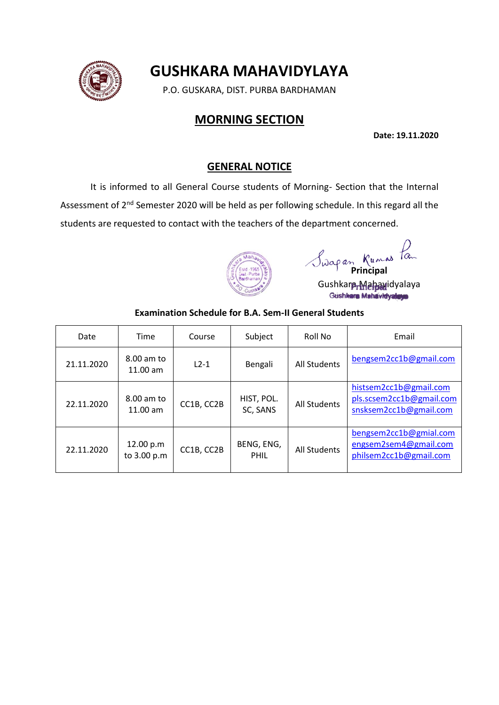# **GUSHKARA MAHAVIDYLAYA**

P.O. GUSKARA, DIST. PURBA BARDHAMAN

# **MORNING SECTION**

**Date: 19.11.2020**

#### **GENERAL NOTICE**

It is informed to all General Course students of Morning- Section that the Internal Assessment of 2<sup>nd</sup> Semester 2020 will be held as per following schedule. In this regard all the students are requested to contact with the teachers of the department concerned.



*Principal* 

Gushkara Mahawidyalaya<br>Gushkara Mahavidyalaya

#### **Examination Schedule for B.A. Sem-II General Students**

| Date       | Time                     | Course     | Subject                   | Roll No             | Email                                                                        |
|------------|--------------------------|------------|---------------------------|---------------------|------------------------------------------------------------------------------|
| 21.11.2020 | 8.00 am to<br>$11.00$ am | $L2-1$     | Bengali                   | <b>All Students</b> | bengsem2cc1b@gmail.com                                                       |
| 22.11.2020 | 8.00 am to<br>11.00 am   | CC1B, CC2B | HIST, POL.<br>SC, SANS    | <b>All Students</b> | histsem2cc1b@gmail.com<br>pls.scsem2cc1b@gmail.com<br>snsksem2cc1b@gmail.com |
| 22.11.2020 | 12.00 p.m<br>to 3.00 p.m | CC1B, CC2B | BENG, ENG,<br><b>PHIL</b> | All Students        | bengsem2cc1b@gmial.com<br>engsem2sem4@gmail.com<br>philsem2cc1b@gmail.com    |